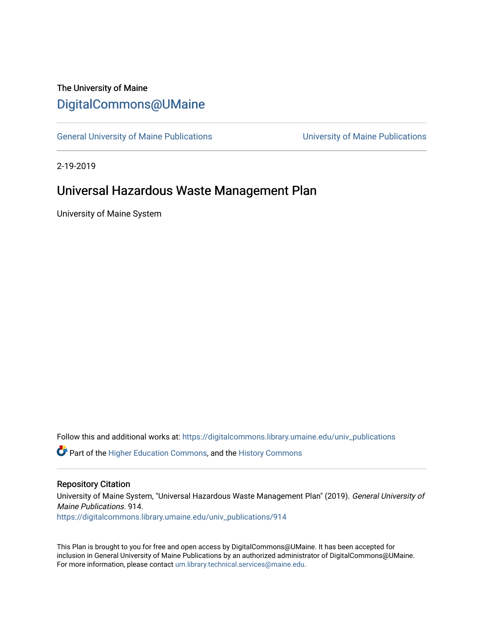## The University of Maine [DigitalCommons@UMaine](https://digitalcommons.library.umaine.edu/)

[General University of Maine Publications](https://digitalcommons.library.umaine.edu/univ_publications) [University of Maine Publications](https://digitalcommons.library.umaine.edu/umaine_publications) 

2-19-2019

## Universal Hazardous Waste Management Plan

University of Maine System

Follow this and additional works at: [https://digitalcommons.library.umaine.edu/univ\\_publications](https://digitalcommons.library.umaine.edu/univ_publications?utm_source=digitalcommons.library.umaine.edu%2Funiv_publications%2F914&utm_medium=PDF&utm_campaign=PDFCoverPages) 

**C** Part of the [Higher Education Commons,](http://network.bepress.com/hgg/discipline/1245?utm_source=digitalcommons.library.umaine.edu%2Funiv_publications%2F914&utm_medium=PDF&utm_campaign=PDFCoverPages) and the [History Commons](http://network.bepress.com/hgg/discipline/489?utm_source=digitalcommons.library.umaine.edu%2Funiv_publications%2F914&utm_medium=PDF&utm_campaign=PDFCoverPages)

#### Repository Citation

University of Maine System, "Universal Hazardous Waste Management Plan" (2019). General University of Maine Publications. 914.

[https://digitalcommons.library.umaine.edu/univ\\_publications/914](https://digitalcommons.library.umaine.edu/univ_publications/914?utm_source=digitalcommons.library.umaine.edu%2Funiv_publications%2F914&utm_medium=PDF&utm_campaign=PDFCoverPages) 

This Plan is brought to you for free and open access by DigitalCommons@UMaine. It has been accepted for inclusion in General University of Maine Publications by an authorized administrator of DigitalCommons@UMaine. For more information, please contact [um.library.technical.services@maine.edu](mailto:um.library.technical.services@maine.edu).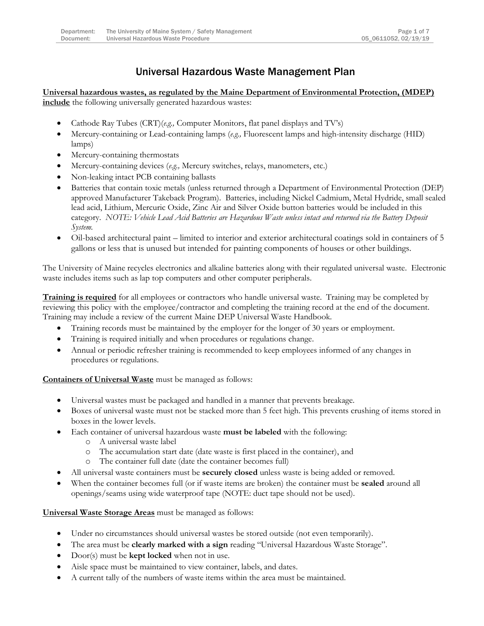### Universal Hazardous Waste Management Plan

**Universal hazardous wastes, as regulated by the Maine Department of Environmental Protection, (MDEP) include** the following universally generated hazardous wastes:

- Cathode Ray Tubes (CRT)(*e.g.,* Computer Monitors, flat panel displays and TV's)
- Mercury-containing or Lead-containing lamps (*e.g.,* Fluorescent lamps and high-intensity discharge (HID) lamps)
- Mercury-containing thermostats
- Mercury-containing devices (*e.g.,* Mercury switches, relays, manometers, etc.)
- Non-leaking intact PCB containing ballasts
- Batteries that contain toxic metals (unless returned through a Department of Environmental Protection (DEP) approved Manufacturer Takeback Program). Batteries, including Nickel Cadmium, Metal Hydride, small sealed lead acid, Lithium, Mercuric Oxide, Zinc Air and Silver Oxide button batteries would be included in this category. *NOTE: Vehicle Lead Acid Batteries are Hazardous Waste unless intact and returned via the Battery Deposit System.*
- Oil-based architectural paint limited to interior and exterior architectural coatings sold in containers of 5 gallons or less that is unused but intended for painting components of houses or other buildings.

The University of Maine recycles electronics and alkaline batteries along with their regulated universal waste. Electronic waste includes items such as lap top computers and other computer peripherals.

**Training is required** for all employees or contractors who handle universal waste. Training may be completed by reviewing this policy with the employee/contractor and completing the training record at the end of the document. Training may include a review of the current Maine DEP Universal Waste Handbook.

- Training records must be maintained by the employer for the longer of 30 years or employment.
- Training is required initially and when procedures or regulations change.
- Annual or periodic refresher training is recommended to keep employees informed of any changes in procedures or regulations.

**Containers of Universal Waste** must be managed as follows:

- Universal wastes must be packaged and handled in a manner that prevents breakage.
- Boxes of universal waste must not be stacked more than 5 feet high. This prevents crushing of items stored in boxes in the lower levels.
- Each container of universal hazardous waste **must be labeled** with the following:
	- o A universal waste label
	- o The accumulation start date (date waste is first placed in the container), and
	- o The container full date (date the container becomes full)
- All universal waste containers must be **securely closed** unless waste is being added or removed.
- When the container becomes full (or if waste items are broken) the container must be **sealed** around all openings/seams using wide waterproof tape (NOTE: duct tape should not be used).

**Universal Waste Storage Areas** must be managed as follows:

- Under no circumstances should universal wastes be stored outside (not even temporarily).
- The area must be **clearly marked with a sign** reading "Universal Hazardous Waste Storage".
- Door(s) must be **kept locked** when not in use.
- Aisle space must be maintained to view container, labels, and dates.
- A current tally of the numbers of waste items within the area must be maintained.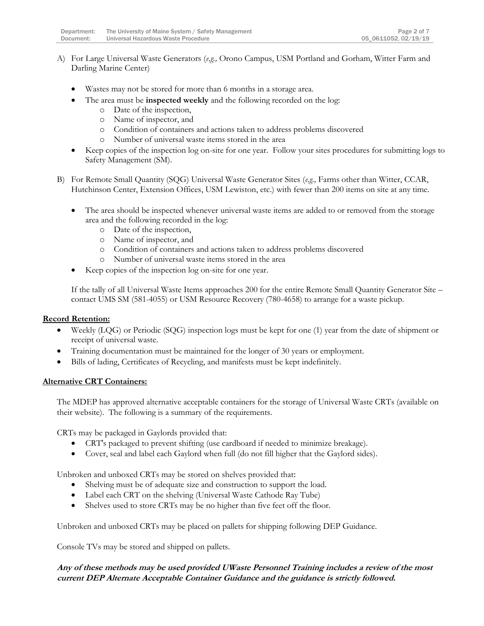- A) For Large Universal Waste Generators (*e.g.,* Orono Campus, USM Portland and Gorham, Witter Farm and Darling Marine Center)
	- Wastes may not be stored for more than 6 months in a storage area.
		- The area must be **inspected weekly** and the following recorded on the log:
			- o Date of the inspection,
			- o Name of inspector, and
			- o Condition of containers and actions taken to address problems discovered
			- o Number of universal waste items stored in the area
	- Keep copies of the inspection log on-site for one year. Follow your sites procedures for submitting logs to Safety Management (SM).
- B) For Remote Small Quantity (SQG) Universal Waste Generator Sites (*e.g.,* Farms other than Witter, CCAR, Hutchinson Center, Extension Offices, USM Lewiston, etc.) with fewer than 200 items on site at any time.
	- The area should be inspected whenever universal waste items are added to or removed from the storage area and the following recorded in the log:
		- o Date of the inspection,
		- o Name of inspector, and
		- o Condition of containers and actions taken to address problems discovered
		- o Number of universal waste items stored in the area
	- Keep copies of the inspection log on-site for one year.

If the tally of all Universal Waste Items approaches 200 for the entire Remote Small Quantity Generator Site – contact UMS SM (581-4055) or USM Resource Recovery (780-4658) to arrange for a waste pickup.

#### **Record Retention:**

- Weekly (LQG) or Periodic (SQG) inspection logs must be kept for one (1) year from the date of shipment or receipt of universal waste.
- Training documentation must be maintained for the longer of 30 years or employment.
- Bills of lading, Certificates of Recycling, and manifests must be kept indefinitely.

#### **Alternative CRT Containers:**

The MDEP has approved alternative acceptable containers for the storage of Universal Waste CRTs (available on their website). The following is a summary of the requirements.

CRTs may be packaged in Gaylords provided that:

- CRT's packaged to prevent shifting (use cardboard if needed to minimize breakage).
- Cover, seal and label each Gaylord when full (do not fill higher that the Gaylord sides).

Unbroken and unboxed CRTs may be stored on shelves provided that:

- Shelving must be of adequate size and construction to support the load.
- Label each CRT on the shelving (Universal Waste Cathode Ray Tube)
- Shelves used to store CRTs may be no higher than five feet off the floor.

Unbroken and unboxed CRTs may be placed on pallets for shipping following DEP Guidance.

Console TVs may be stored and shipped on pallets.

#### **Any of these methods may be used provided UWaste Personnel Training includes a review of the most current DEP Alternate Acceptable Container Guidance and the guidance is strictly followed.**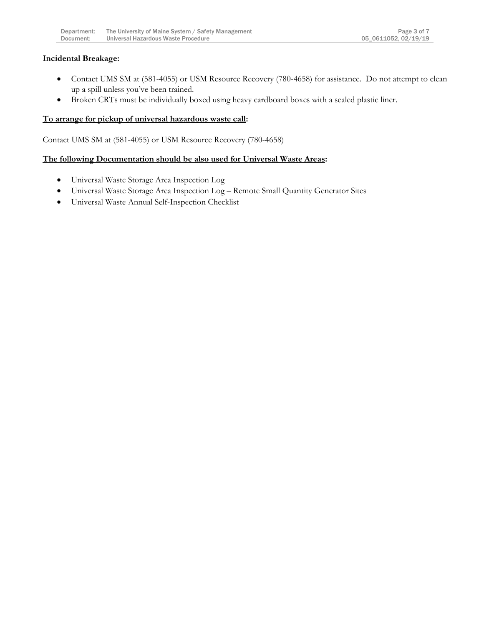#### **Incidental Breakage:**

- Contact UMS SM at (581-4055) or USM Resource Recovery (780-4658) for assistance. Do not attempt to clean up a spill unless you've been trained.
- Broken CRTs must be individually boxed using heavy cardboard boxes with a sealed plastic liner.

#### **To arrange for pickup of universal hazardous waste call:**

Contact UMS SM at (581-4055) or USM Resource Recovery (780-4658)

#### **The following Documentation should be also used for Universal Waste Areas:**

- Universal Waste Storage Area Inspection Log
- Universal Waste Storage Area Inspection Log Remote Small Quantity Generator Sites
- Universal Waste Annual Self-Inspection Checklist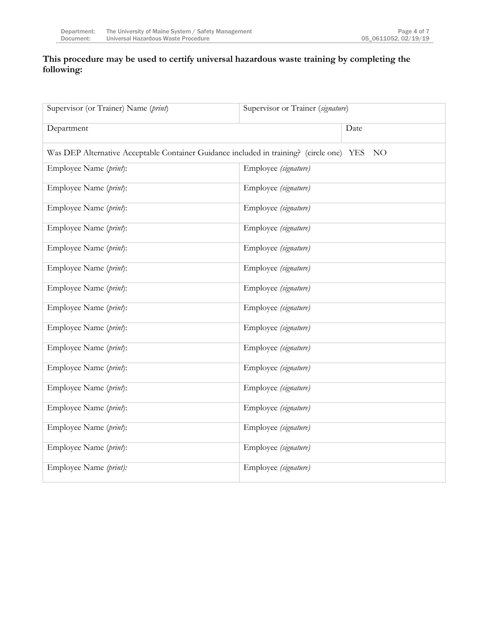#### **This procedure may be used to certify universal hazardous waste training by completing the following:**

| Supervisor (or Trainer) Name (print)                                                                        | Supervisor or Trainer (signature) |
|-------------------------------------------------------------------------------------------------------------|-----------------------------------|
| Department                                                                                                  | Date                              |
| Was DEP Alternative Acceptable Container Guidance included in training? (circle one) YES<br>NO <sub>1</sub> |                                   |
| Employee Name (print):                                                                                      | Employee (signature)              |
| Employee Name (print):                                                                                      | Employee (signature)              |
| Employee Name (print):                                                                                      | Employee (signature)              |
| Employee Name (print):                                                                                      | Employee (signature)              |
| Employee Name (print):                                                                                      | Employee (signature)              |
| Employee Name (print):                                                                                      | Employee (signature)              |
| Employee Name (print):                                                                                      | Employee (signature)              |
| Employee Name (print):                                                                                      | Employee (signature)              |
| Employee Name (print):                                                                                      | Employee (signature)              |
| Employee Name (print):                                                                                      | Employee (signature)              |
| Employee Name (print):                                                                                      | Employee (signature)              |
| Employee Name (print):                                                                                      | Employee (signature)              |
| Employee Name (print):                                                                                      | Employee (signature)              |
| Employee Name (print):                                                                                      | Employee (signature)              |
| Employee Name (print):                                                                                      | Employee (signature)              |
| Employee Name (print):                                                                                      | Employee (signature)              |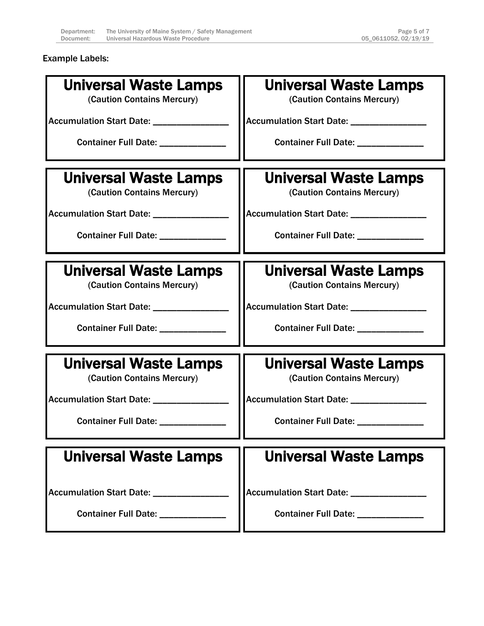Example Labels:

| <b>Universal Waste Lamps</b>                               | Universal Waste Lamps                                      |
|------------------------------------------------------------|------------------------------------------------------------|
| (Caution Contains Mercury)                                 | (Caution Contains Mercury)                                 |
|                                                            |                                                            |
| Accumulation Start Date: _________________                 | Accumulation Start Date: _________________                 |
| Container Full Date: _____________                         | Container Full Date: ______________                        |
|                                                            |                                                            |
| Universal Waste Lamps                                      | <b>Universal Waste Lamps</b>                               |
| (Caution Contains Mercury)                                 | (Caution Contains Mercury)                                 |
| Accumulation Start Date: _________________                 | Accumulation Start Date: _________________                 |
| Container Full Date: _____________                         |                                                            |
|                                                            |                                                            |
|                                                            |                                                            |
| <b>Universal Waste Lamps</b><br>(Caution Contains Mercury) | <b>Universal Waste Lamps</b><br>(Caution Contains Mercury) |
|                                                            |                                                            |
| Accumulation Start Date: _______________                   | Accumulation Start Date: _________________                 |
| Container Full Date: ______________                        | Container Full Date: _____________                         |
|                                                            |                                                            |
| Universal Waste Lamps                                      | <b>Universal Waste Lamps</b>                               |
| (Caution Contains Mercury)                                 | (Caution Contains Mercury)                                 |
| Accumulation Start Date: _____________                     | Accumulation Start Date: _________________                 |
|                                                            |                                                            |
| <b>Container Full Date:</b>                                | Container Full Date: _____                                 |
|                                                            |                                                            |
| Universal Waste Lamps                                      | <b>Universal Waste Lamps</b>                               |
|                                                            |                                                            |
| <b>Accumulation Start Date:</b>                            | <b>Accumulation Start Date:</b>                            |
| <b>Container Full Date:</b>                                | Container Full Date: _____________                         |
|                                                            |                                                            |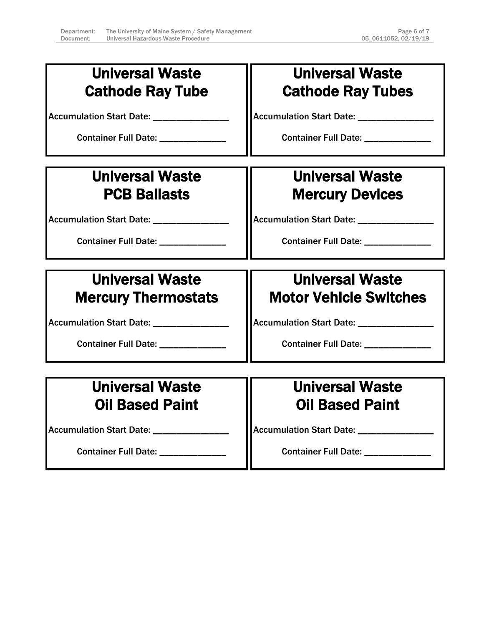| <b>Universal Waste</b><br><b>Cathode Ray Tube</b>                       | <b>Universal Waste</b><br><b>Cathode Ray Tubes</b>                      |
|-------------------------------------------------------------------------|-------------------------------------------------------------------------|
| Accumulation Start Date: _________________<br>Container Full Date: 2000 | Accumulation Start Date: _________________<br>Container Full Date: 2000 |
| <b>Universal Waste</b>                                                  | <b>Universal Waste</b>                                                  |
| <b>PCB Ballasts</b>                                                     | <b>Mercury Devices</b>                                                  |
| Accumulation Start Date: _______________                                |                                                                         |
| Container Full Date: ____________                                       | Container Full Date: ______________                                     |
|                                                                         |                                                                         |
| <b>Universal Waste</b>                                                  | <b>Universal Waste</b>                                                  |
| <b>Mercury Thermostats</b>                                              | <b>Motor Vehicle Switches</b>                                           |
| Accumulation Start Date: _________________                              | Accumulation Start Date: ________________                               |
| Container Full Date: ______________                                     | Container Full Date: _____________                                      |
|                                                                         |                                                                         |
| <b>Universal Waste</b>                                                  | <b>Universal Waste</b>                                                  |
| <b>Oil Based Paint</b>                                                  | <b>Oil Based Paint</b>                                                  |
| Accumulation Start Date: _________________                              | Accumulation Start Date: ________________                               |